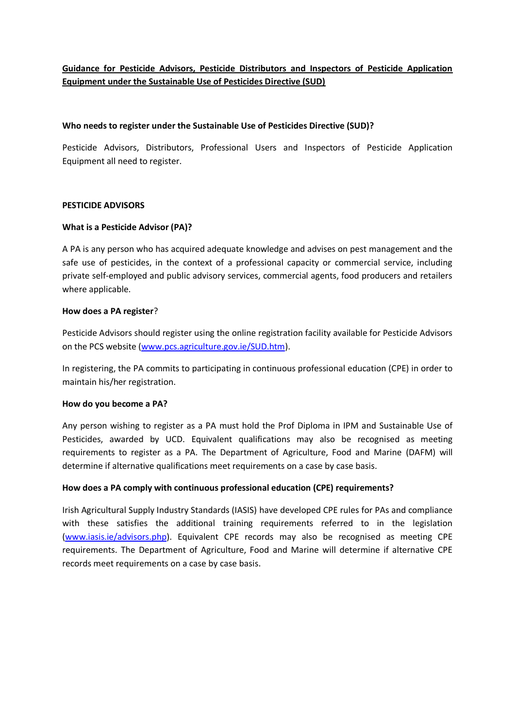# **Guidance for Pesticide Advisors, Pesticide Distributors and Inspectors of Pesticide Application Equipment under the Sustainable Use of Pesticides Directive (SUD)**

### **Who needs to register under the Sustainable Use of Pesticides Directive (SUD)?**

Pesticide Advisors, Distributors, Professional Users and Inspectors of Pesticide Application Equipment all need to register.

### **PESTICIDE ADVISORS**

## **What is a Pesticide Advisor (PA)?**

A PA is any person who has acquired adequate knowledge and advises on pest management and the safe use of pesticides, in the context of a professional capacity or commercial service, including private self-employed and public advisory services, commercial agents, food producers and retailers where applicable.

### **How does a PA register**?

Pesticide Advisors should register using the online registration facility available for Pesticide Advisors on the PCS website [\(www.pcs.agriculture.gov.ie/SUD.htm\)](http://www.pcs.agriculture.gov.ie/SUD.htm).

In registering, the PA commits to participating in continuous professional education (CPE) in order to maintain his/her registration.

### **How do you become a PA?**

Any person wishing to register as a PA must hold the Prof Diploma in IPM and Sustainable Use of Pesticides, awarded by UCD. Equivalent qualifications may also be recognised as meeting requirements to register as a PA. The Department of Agriculture, Food and Marine (DAFM) will determine if alternative qualifications meet requirements on a case by case basis.

### **How does a PA comply with continuous professional education (CPE) requirements?**

Irish Agricultural Supply Industry Standards (IASIS) have developed CPE rules for PAs and compliance with these satisfies the additional training requirements referred to in the legislation [\(www.iasis.ie/advisors.php\)](http://www.iasis.ie/advisors.php). Equivalent CPE records may also be recognised as meeting CPE requirements. The Department of Agriculture, Food and Marine will determine if alternative CPE records meet requirements on a case by case basis.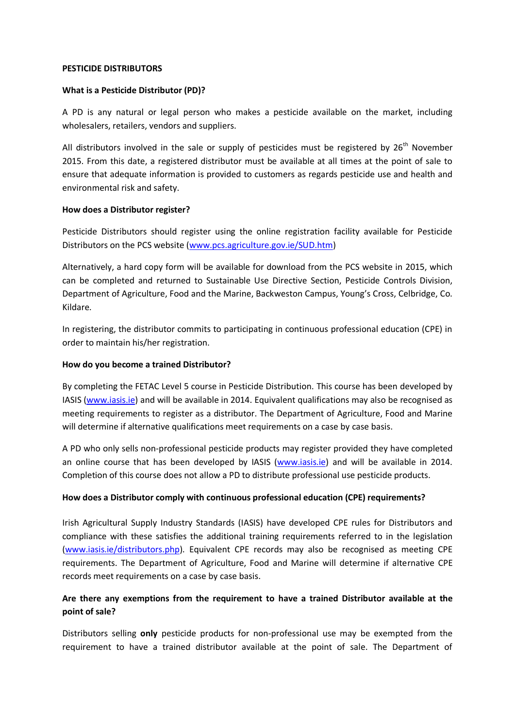#### **PESTICIDE DISTRIBUTORS**

### **What is a Pesticide Distributor (PD)?**

A PD is any natural or legal person who makes a pesticide available on the market, including wholesalers, retailers, vendors and suppliers.

All distributors involved in the sale or supply of pesticides must be registered by  $26<sup>th</sup>$  November 2015. From this date, a registered distributor must be available at all times at the point of sale to ensure that adequate information is provided to customers as regards pesticide use and health and environmental risk and safety.

## **How does a Distributor register?**

Pesticide Distributors should register using the online registration facility available for Pesticide Distributors on the PCS website [\(www.pcs.agriculture.gov.ie/SUD.htm\)](http://www.pcs.agriculture.gov.ie/SUD.htm)

Alternatively, a hard copy form will be available for download from the PCS website in 2015, which can be completed and returned to Sustainable Use Directive Section, Pesticide Controls Division, Department of Agriculture, Food and the Marine, Backweston Campus, Young's Cross, Celbridge, Co. Kildare.

In registering, the distributor commits to participating in continuous professional education (CPE) in order to maintain his/her registration.

## **How do you become a trained Distributor?**

By completing the FETAC Level 5 course in Pesticide Distribution. This course has been developed by IASIS [\(www.iasis.ie\)](http://www.iasis.ie/) and will be available in 2014. Equivalent qualifications may also be recognised as meeting requirements to register as a distributor. The Department of Agriculture, Food and Marine will determine if alternative qualifications meet requirements on a case by case basis.

A PD who only sells non-professional pesticide products may register provided they have completed an online course that has been developed by IASIS [\(www.iasis.ie\)](http://www.iasis.ie/) and will be available in 2014. Completion of this course does not allow a PD to distribute professional use pesticide products.

## **How does a Distributor comply with continuous professional education (CPE) requirements?**

Irish Agricultural Supply Industry Standards (IASIS) have developed CPE rules for Distributors and compliance with these satisfies the additional training requirements referred to in the legislation [\(www.iasis.ie/distributors.php\)](http://www.iasis.ie/distributors.php). Equivalent CPE records may also be recognised as meeting CPE requirements. The Department of Agriculture, Food and Marine will determine if alternative CPE records meet requirements on a case by case basis.

## **Are there any exemptions from the requirement to have a trained Distributor available at the point of sale?**

Distributors selling **only** pesticide products for non-professional use may be exempted from the requirement to have a trained distributor available at the point of sale. The Department of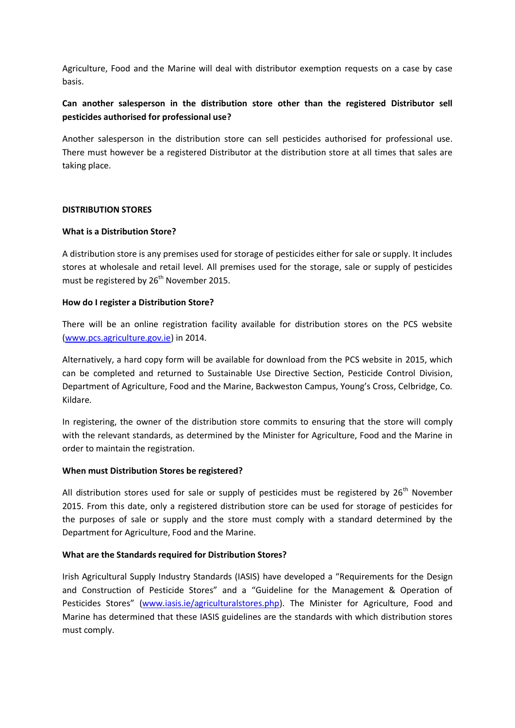Agriculture, Food and the Marine will deal with distributor exemption requests on a case by case basis.

## **Can another salesperson in the distribution store other than the registered Distributor sell pesticides authorised for professional use?**

Another salesperson in the distribution store can sell pesticides authorised for professional use. There must however be a registered Distributor at the distribution store at all times that sales are taking place.

## **DISTRIBUTION STORES**

## **What is a Distribution Store?**

A distribution store is any premises used for storage of pesticides either for sale or supply. It includes stores at wholesale and retail level. All premises used for the storage, sale or supply of pesticides must be registered by 26<sup>th</sup> November 2015.

## **How do I register a Distribution Store?**

There will be an online registration facility available for distribution stores on the PCS website [\(www.pcs.agriculture.gov.ie\)](http://www.pcs.agriculture.gov.ie/) in 2014.

Alternatively, a hard copy form will be available for download from the PCS website in 2015, which can be completed and returned to Sustainable Use Directive Section, Pesticide Control Division, Department of Agriculture, Food and the Marine, Backweston Campus, Young's Cross, Celbridge, Co. Kildare.

In registering, the owner of the distribution store commits to ensuring that the store will comply with the relevant standards, as determined by the Minister for Agriculture, Food and the Marine in order to maintain the registration.

## **When must Distribution Stores be registered?**

All distribution stores used for sale or supply of pesticides must be registered by  $26<sup>th</sup>$  November 2015. From this date, only a registered distribution store can be used for storage of pesticides for the purposes of sale or supply and the store must comply with a standard determined by the Department for Agriculture, Food and the Marine.

## **What are the Standards required for Distribution Stores?**

Irish Agricultural Supply Industry Standards (IASIS) have developed a "Requirements for the Design and Construction of Pesticide Stores" and a "Guideline for the Management & Operation of Pesticides Stores" [\(www.iasis.ie/agriculturalstores.php\)](http://www.iasis.ie/agriculturalstores.php). The Minister for Agriculture, Food and Marine has determined that these IASIS guidelines are the standards with which distribution stores must comply.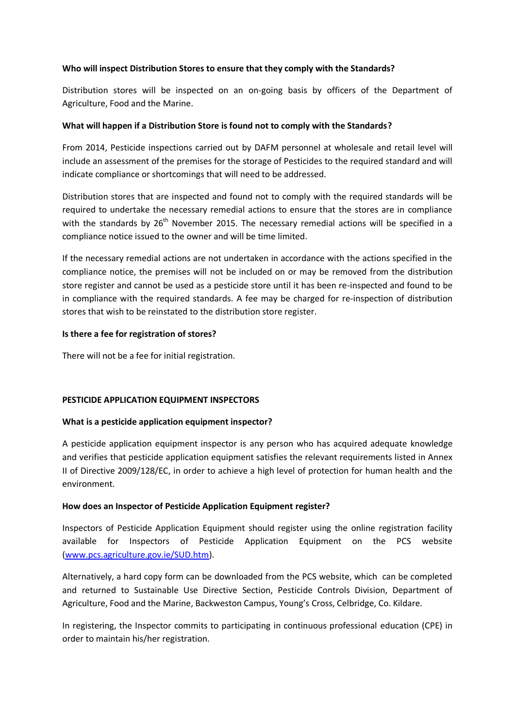## **Who will inspect Distribution Stores to ensure that they comply with the Standards?**

Distribution stores will be inspected on an on-going basis by officers of the Department of Agriculture, Food and the Marine.

## **What will happen if a Distribution Store is found not to comply with the Standards?**

From 2014, Pesticide inspections carried out by DAFM personnel at wholesale and retail level will include an assessment of the premises for the storage of Pesticides to the required standard and will indicate compliance or shortcomings that will need to be addressed.

Distribution stores that are inspected and found not to comply with the required standards will be required to undertake the necessary remedial actions to ensure that the stores are in compliance with the standards by 26<sup>th</sup> November 2015. The necessary remedial actions will be specified in a compliance notice issued to the owner and will be time limited.

If the necessary remedial actions are not undertaken in accordance with the actions specified in the compliance notice, the premises will not be included on or may be removed from the distribution store register and cannot be used as a pesticide store until it has been re-inspected and found to be in compliance with the required standards. A fee may be charged for re-inspection of distribution stores that wish to be reinstated to the distribution store register.

## **Is there a fee for registration of stores?**

There will not be a fee for initial registration.

### **PESTICIDE APPLICATION EQUIPMENT INSPECTORS**

### **What is a pesticide application equipment inspector?**

A pesticide application equipment inspector is any person who has acquired adequate knowledge and verifies that pesticide application equipment satisfies the relevant requirements listed in Annex II of Directive 2009/128/EC, in order to achieve a high level of protection for human health and the environment.

### **How does an Inspector of Pesticide Application Equipment register?**

Inspectors of Pesticide Application Equipment should register using the online registration facility available for Inspectors of Pesticide Application Equipment on the PCS website [\(www.pcs.agriculture.gov.ie/SUD.htm\)](http://www.pcs.agriculture.gov.ie/SUD.htm).

Alternatively, a hard copy form can be downloaded from the PCS website, which can be completed and returned to Sustainable Use Directive Section, Pesticide Controls Division, Department of Agriculture, Food and the Marine, Backweston Campus, Young's Cross, Celbridge, Co. Kildare.

In registering, the Inspector commits to participating in continuous professional education (CPE) in order to maintain his/her registration.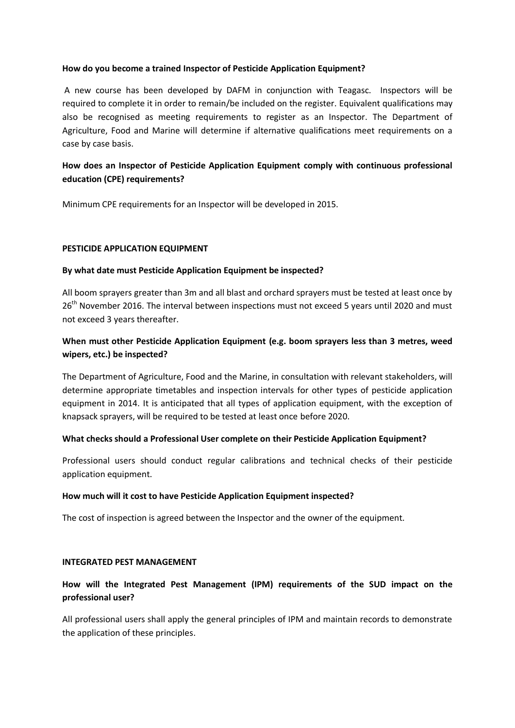### **How do you become a trained Inspector of Pesticide Application Equipment?**

A new course has been developed by DAFM in conjunction with Teagasc. Inspectors will be required to complete it in order to remain/be included on the register. Equivalent qualifications may also be recognised as meeting requirements to register as an Inspector. The Department of Agriculture, Food and Marine will determine if alternative qualifications meet requirements on a case by case basis.

## **How does an Inspector of Pesticide Application Equipment comply with continuous professional education (CPE) requirements?**

Minimum CPE requirements for an Inspector will be developed in 2015.

### **PESTICIDE APPLICATION EQUIPMENT**

## **By what date must Pesticide Application Equipment be inspected?**

All boom sprayers greater than 3m and all blast and orchard sprayers must be tested at least once by 26<sup>th</sup> November 2016. The interval between inspections must not exceed 5 years until 2020 and must not exceed 3 years thereafter.

## **When must other Pesticide Application Equipment (e.g. boom sprayers less than 3 metres, weed wipers, etc.) be inspected?**

The Department of Agriculture, Food and the Marine, in consultation with relevant stakeholders, will determine appropriate timetables and inspection intervals for other types of pesticide application equipment in 2014. It is anticipated that all types of application equipment, with the exception of knapsack sprayers, will be required to be tested at least once before 2020.

### **What checks should a Professional User complete on their Pesticide Application Equipment?**

Professional users should conduct regular calibrations and technical checks of their pesticide application equipment.

### **How much will it cost to have Pesticide Application Equipment inspected?**

The cost of inspection is agreed between the Inspector and the owner of the equipment.

### **INTEGRATED PEST MANAGEMENT**

## **How will the Integrated Pest Management (IPM) requirements of the SUD impact on the professional user?**

All professional users shall apply the general principles of IPM and maintain records to demonstrate the application of these principles.